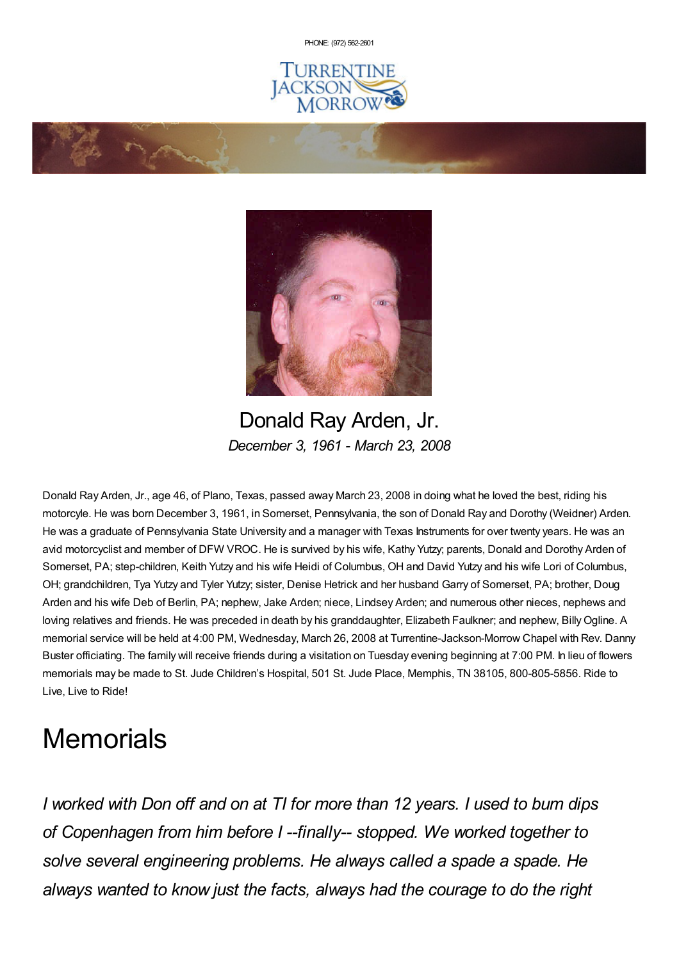PHONE: (972) [562-2601](tel:(972) 562-2601)







Donald Ray Arden, Jr. *December 3, 1961 - March 23, 2008*

Donald Ray Arden, Jr., age 46, of Plano, Texas, passed away March 23, 2008 in doing what he loved the best, riding his motorcyle. He was born December 3, 1961, in Somerset, Pennsylvania, the son of Donald Ray and Dorothy (Weidner) Arden. He was a graduate of Pennsylvania State University and a manager with Texas Instruments for over twenty years. He was an avid motorcyclist and member of DFW VROC. He is survived by his wife, Kathy Yutzy; parents, Donald and Dorothy Arden of Somerset, PA; step-children, Keith Yutzy and his wife Heidi of Columbus, OH and David Yutzy and his wife Lori of Columbus, OH; grandchildren, Tya Yutzy and Tyler Yutzy; sister, Denise Hetrick and her husband Garry of Somerset, PA; brother, Doug Arden and his wife Deb of Berlin, PA; nephew, Jake Arden; niece, Lindsey Arden; and numerous other nieces, nephews and loving relatives and friends. He was preceded in death by his granddaughter, Elizabeth Faulkner; and nephew, Billy Ogline. A memorial service will be held at 4:00 PM, Wednesday, March 26, 2008 at Turrentine-Jackson-Morrow Chapel with Rev. Danny Buster officiating. The family will receive friends during a visitation on Tuesday evening beginning at 7:00 PM. In lieu of flowers memorials may be made to St. Jude Children's Hospital, 501 St. Jude Place, Memphis, TN 38105, 800-805-5856. Ride to Live, Live to Ride!

# **Memorials**

*I worked with Don off and on at TI for more than 12 years. I used to bum dips of Copenhagen from him before I --finally-- stopped. We worked together to solve several engineering problems. He always called a spade a spade. He always wanted to know just the facts, always had the courage to do the right*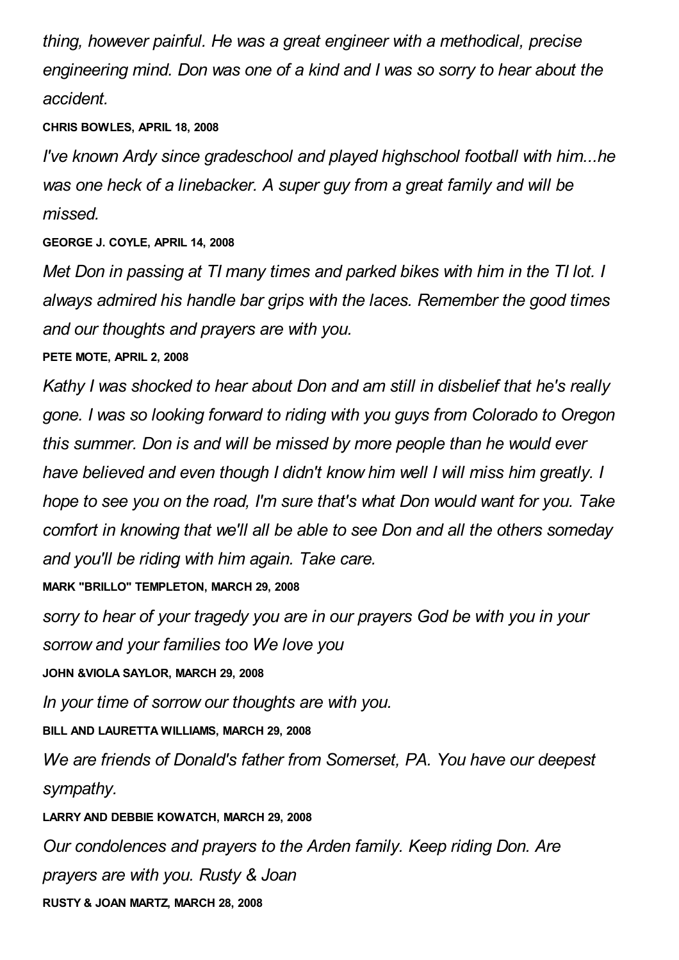*thing, however painful. He was a great engineer with a methodical, precise engineering mind. Don was one of a kind and I was so sorry to hear about the accident.*

## **CHRIS BOWLES, APRIL 18, 2008**

*I've known Ardy since gradeschool and played highschool football with him...he was one heck of a linebacker. A super guy from a great family and will be missed.*

**GEORGE J. COYLE, APRIL 14, 2008**

*Met Don in passing at TI many times and parked bikes with him in the TI lot. I always admired his handle bar grips with the laces. Remember the good times and our thoughts and prayers are with you.*

## **PETE MOTE, APRIL 2, 2008**

*Kathy I was shocked to hear about Don and am still in disbelief that he's really gone. I was so looking forward to riding with you guys from Colorado to Oregon this summer. Don is and will be missed by more people than he would ever have believed and even though I didn't know him well I will miss him greatly. I hope to see you on the road, I'm sure that's what Don would want for you. Take comfort in knowing that we'll all be able to see Don and all the others someday and you'll be riding with him again. Take care.*

**MARK "BRILLO" TEMPLETON, MARCH 29, 2008**

*sorry to hear of your tragedy you are in our prayers God be with you in your sorrow and your families too We love you*

**JOHN &VIOLA SAYLOR, MARCH 29, 2008**

*In your time of sorrow our thoughts are with you.*

**BILL AND LAURETTA WILLIAMS, MARCH 29, 2008**

*We are friends of Donald's father from Somerset, PA. You have our deepest sympathy.*

# **LARRY AND DEBBIE KOWATCH, MARCH 29, 2008**

*Our condolences and prayers to the Arden family. Keep riding Don. Are prayers are with you. Rusty & Joan*

#### **RUSTY & JOAN MARTZ, MARCH 28, 2008**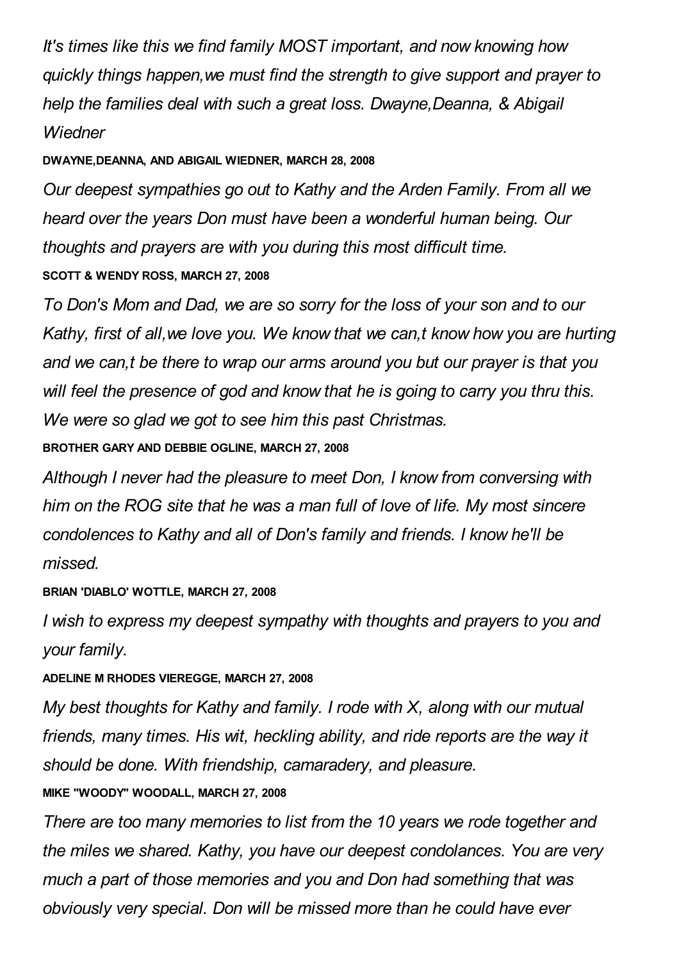*It's times like this we find family MOST important, and now knowing how quickly things happen,we must find the strength to give support and prayer to help the families deal with such a great loss. Dwayne,Deanna, & Abigail Wiedner*

## **DWAYNE,DEANNA, AND ABIGAIL WIEDNER, MARCH 28, 2008**

*Our deepest sympathies go out to Kathy and the Arden Family. From all we heard over the years Don must have been a wonderful human being. Our thoughts and prayers are with you during this most difficult time.* **SCOTT & WENDY ROSS, MARCH 27, 2008**

*To Don's Mom and Dad, we are so sorry for the loss of your son and to our Kathy, first of all,we love you. We know that we can,t know how you are hurting and we can,t be there to wrap our arms around you but our prayer is that you will feel the presence of god and know that he is going to carry you thru this. We were so glad we got to see him this past Christmas.*

**BROTHER GARY AND DEBBIE OGLINE, MARCH 27, 2008**

*Although I never had the pleasure to meet Don, I know from conversing with him on the ROG site that he was a man full of love of life. My most sincere condolences to Kathy and all of Don's family and friends. I know he'll be missed.*

# **BRIAN 'DIABLO' WOTTLE, MARCH 27, 2008**

*I wish to express my deepest sympathy with thoughts and prayers to you and your family.*

## **ADELINE M RHODES VIEREGGE, MARCH 27, 2008**

*My best thoughts for Kathy and family. I rode with X, along with our mutual friends, many times. His wit, heckling ability, and ride reports are the way it should be done. With friendship, camaradery, and pleasure.*

# **MIKE "WOODY" WOODALL, MARCH 27, 2008**

*There are too many memories to list from the 10 years we rode together and the miles we shared. Kathy, you have our deepest condolances. You are very much a part of those memories and you and Don had something that was obviously very special. Don will be missed more than he could have ever*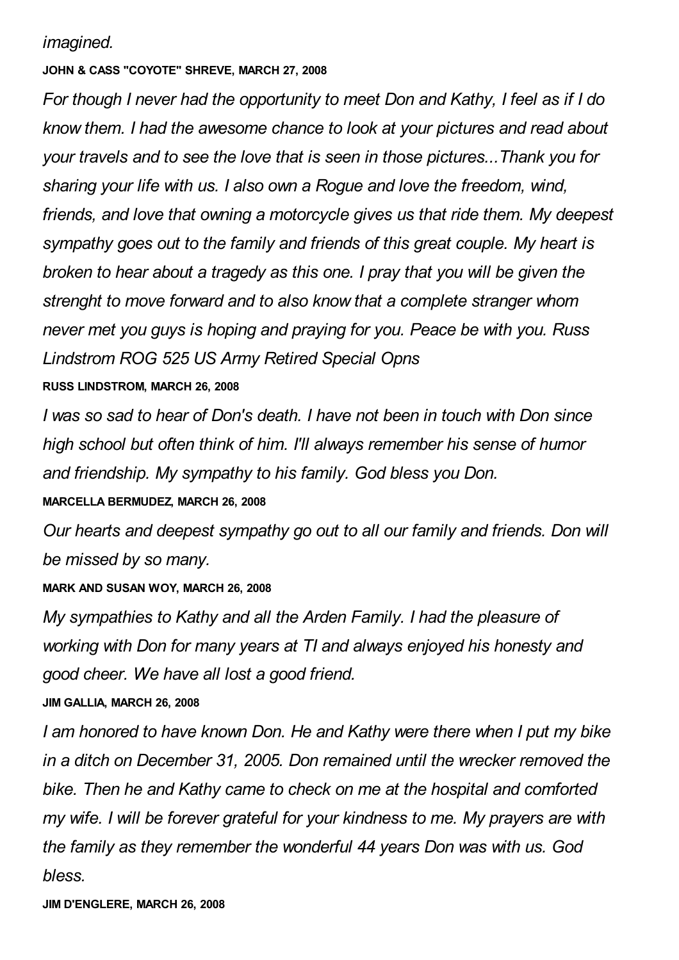## *imagined.*

#### **JOHN & CASS "COYOTE" SHREVE, MARCH 27, 2008**

*For though I never had the opportunity to meet Don and Kathy, I feel as if I do know them. I had the awesome chance to look at your pictures and read about your travels and to see the love that is seen in those pictures...Thank you for sharing your life with us. I also own a Rogue and love the freedom, wind, friends, and love that owning a motorcycle gives us that ride them. My deepest sympathy goes out to the family and friends of this great couple. My heart is broken to hear about a tragedy as this one. I pray that you will be given the strenght to move forward and to also know that a complete stranger whom never met you guys is hoping and praying for you. Peace be with you. Russ Lindstrom ROG 525 US Army Retired Special Opns*

## **RUSS LINDSTROM, MARCH 26, 2008**

*I was so sad to hear of Don's death. I have not been in touch with Don since high school but often think of him. I'll always remember his sense of humor and friendship. My sympathy to his family. God bless you Don.*

#### **MARCELLA BERMUDEZ, MARCH 26, 2008**

*Our hearts and deepest sympathy go out to all our family and friends. Don will be missed by so many.*

#### **MARK AND SUSAN WOY, MARCH 26, 2008**

*My sympathies to Kathy and all the Arden Family. I had the pleasure of working with Don for many years at TI and always enjoyed his honesty and good cheer. We have all lost a good friend.*

#### **JIM GALLIA, MARCH 26, 2008**

*I am honored to have known Don. He and Kathy were there when I put my bike in a ditch on December 31, 2005. Don remained until the wrecker removed the bike. Then he and Kathy came to check on me at the hospital and comforted my wife. I will be forever grateful for your kindness to me. My prayers are with the family as they remember the wonderful 44 years Don was with us. God bless.*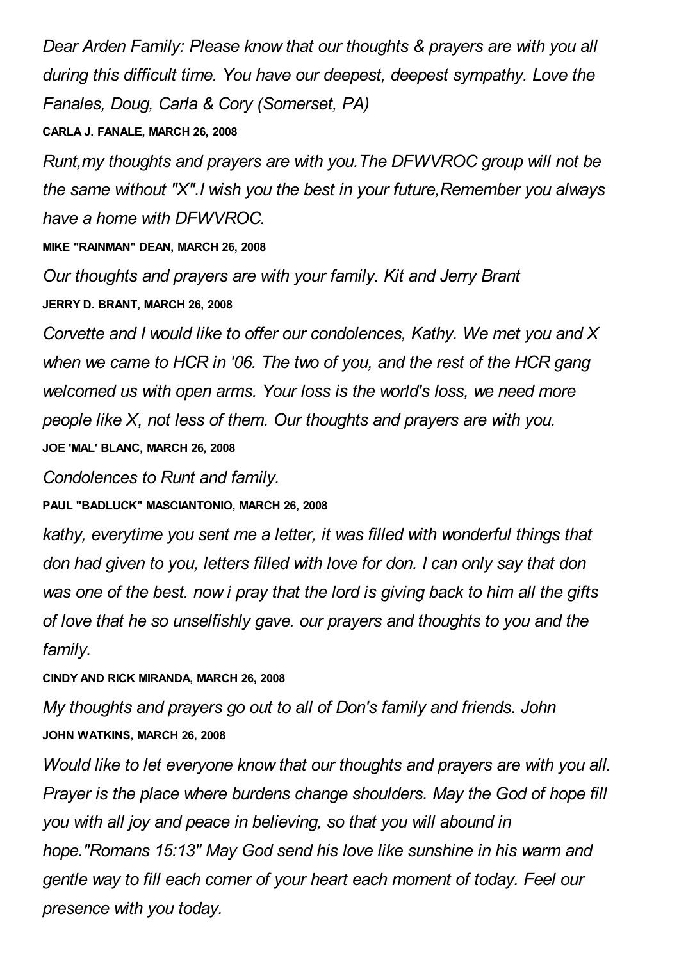*Dear Arden Family: Please know that our thoughts & prayers are with you all during this difficult time. You have our deepest, deepest sympathy. Love the Fanales, Doug, Carla & Cory (Somerset, PA)*

## **CARLA J. FANALE, MARCH 26, 2008**

*Runt,my thoughts and prayers are with you.The DFWVROC group will not be the same without "X".I wish you the best in your future,Remember you always have a home with DFWVROC.*

**MIKE "RAINMAN" DEAN, MARCH 26, 2008**

*Our thoughts and prayers are with your family. Kit and Jerry Brant* **JERRY D. BRANT, MARCH 26, 2008**

*Corvette and I would like to offer our condolences, Kathy. We met you and X when we came to HCR in '06. The two of you, and the rest of the HCR gang welcomed us with open arms. Your loss is the world's loss, we need more people like X, not less of them. Our thoughts and prayers are with you.* **JOE 'MAL' BLANC, MARCH 26, 2008**

*Condolences to Runt and family.*

**PAUL "BADLUCK" MASCIANTONIO, MARCH 26, 2008**

*kathy, everytime you sent me a letter, it was filled with wonderful things that don had given to you, letters filled with love for don. I can only say that don was one of the best. now i pray that the lord is giving back to him all the gifts of love that he so unselfishly gave. our prayers and thoughts to you and the family.*

**CINDY AND RICK MIRANDA, MARCH 26, 2008**

*My thoughts and prayers go out to all of Don's family and friends. John* **JOHN WATKINS, MARCH 26, 2008**

*Would like to let everyone know that our thoughts and prayers are with you all. Prayer is the place where burdens change shoulders. May the God of hope fill you with all joy and peace in believing, so that you will abound in hope."Romans 15:13" May God send his love like sunshine in his warm and gentle way to fill each corner of your heart each moment of today. Feel our presence with you today.*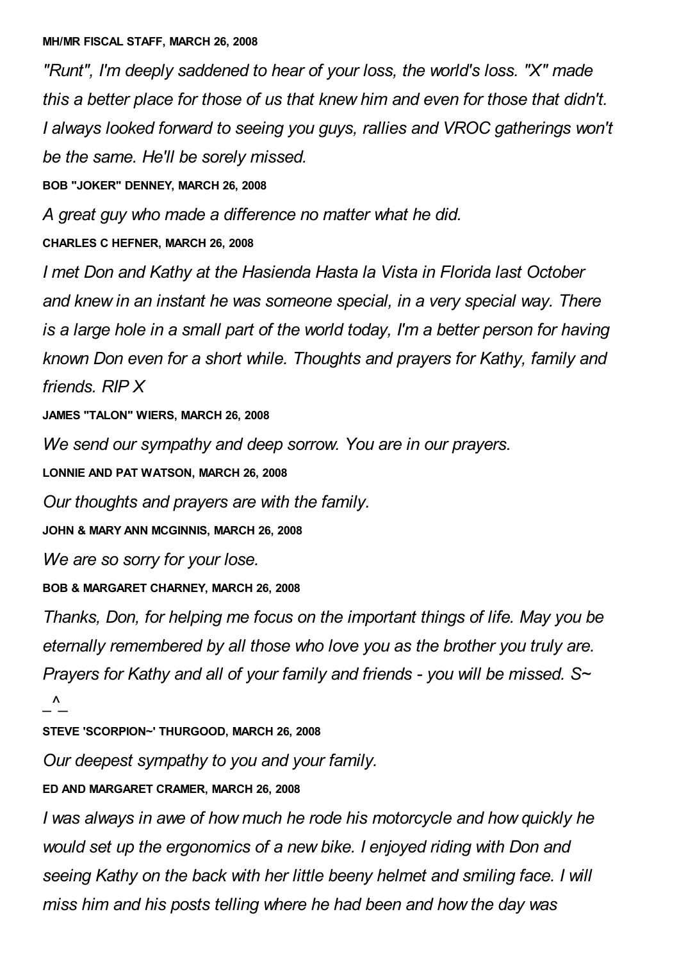*"Runt", I'm deeply saddened to hear of your loss, the world's loss. "X" made this a better place for those of us that knew him and even for those that didn't. I always looked forward to seeing you guys, rallies and VROC gatherings won't be the same. He'll be sorely missed.*

**BOB "JOKER" DENNEY, MARCH 26, 2008**

*A great guy who made a difference no matter what he did.*

**CHARLES C HEFNER, MARCH 26, 2008**

*I met Don and Kathy at the Hasienda Hasta la Vista in Florida last October and knew in an instant he was someone special, in a very special way. There is a large hole in a small part of the world today, I'm a better person for having known Don even for a short while. Thoughts and prayers for Kathy, family and friends. RIP X*

**JAMES "TALON" WIERS, MARCH 26, 2008**

*We send our sympathy and deep sorrow. You are in our prayers.*

**LONNIE AND PAT WATSON, MARCH 26, 2008**

*Our thoughts and prayers are with the family.*

**JOHN & MARY ANN MCGINNIS, MARCH 26, 2008**

*We are so sorry for your lose.*

**BOB & MARGARET CHARNEY, MARCH 26, 2008**

*Thanks, Don, for helping me focus on the important things of life. May you be eternally remembered by all those who love you as the brother you truly are. Prayers for Kathy and all of your family and friends - you will be missed. S~ \_^\_*

**STEVE 'SCORPION~' THURGOOD, MARCH 26, 2008**

*Our deepest sympathy to you and your family.*

**ED AND MARGARET CRAMER, MARCH 26, 2008**

*I was always in awe of how much he rode his motorcycle and how quickly he would set up the ergonomics of a new bike. I enjoyed riding with Don and seeing Kathy on the back with her little beeny helmet and smiling face. I will miss him and his posts telling where he had been and how the day was*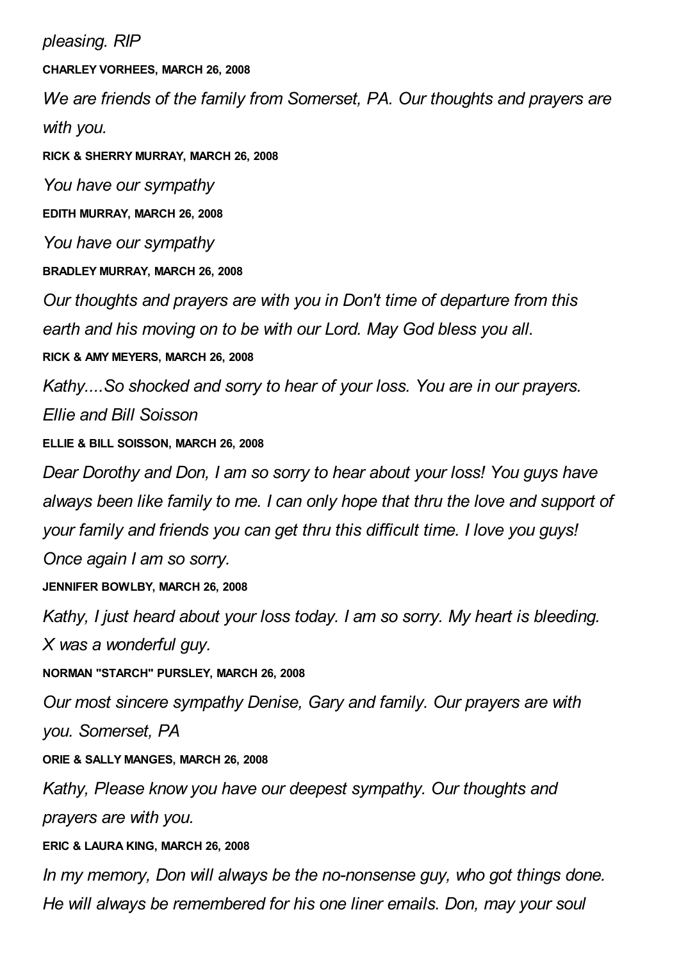*pleasing. RIP* **CHARLEY VORHEES, MARCH 26, 2008** *We are friends of the family from Somerset, PA. Our thoughts and prayers are with you.* **RICK & SHERRY MURRAY, MARCH 26, 2008** *You have our sympathy* **EDITH MURRAY, MARCH 26, 2008** *You have our sympathy* **BRADLEY MURRAY, MARCH 26, 2008** *Our thoughts and prayers are with you in Don't time of departure from this earth and his moving on to be with our Lord. May God bless you all.* **RICK & AMY MEYERS, MARCH 26, 2008** *Kathy....So shocked and sorry to hear of your loss. You are in our prayers. Ellie and Bill Soisson* **ELLIE & BILL SOISSON, MARCH 26, 2008** *Dear Dorothy and Don, I am so sorry to hear about your loss! You guys have always been like family to me. I can only hope that thru the love and support of your family and friends you can get thru this difficult time. I love you guys! Once again I am so sorry.* **JENNIFER BOWLBY, MARCH 26, 2008** *Kathy, I just heard about your loss today. I am so sorry. My heart is bleeding. X was a wonderful guy.* **NORMAN "STARCH" PURSLEY, MARCH 26, 2008** *Our most sincere sympathy Denise, Gary and family. Our prayers are with you. Somerset, PA* **ORIE & SALLY MANGES, MARCH 26, 2008** *Kathy, Please know you have our deepest sympathy. Our thoughts and prayers are with you.* **ERIC & LAURA KING, MARCH 26, 2008** *In my memory, Don will always be the no-nonsense guy, who got things done. He will always be remembered for his one liner emails. Don, may your soul*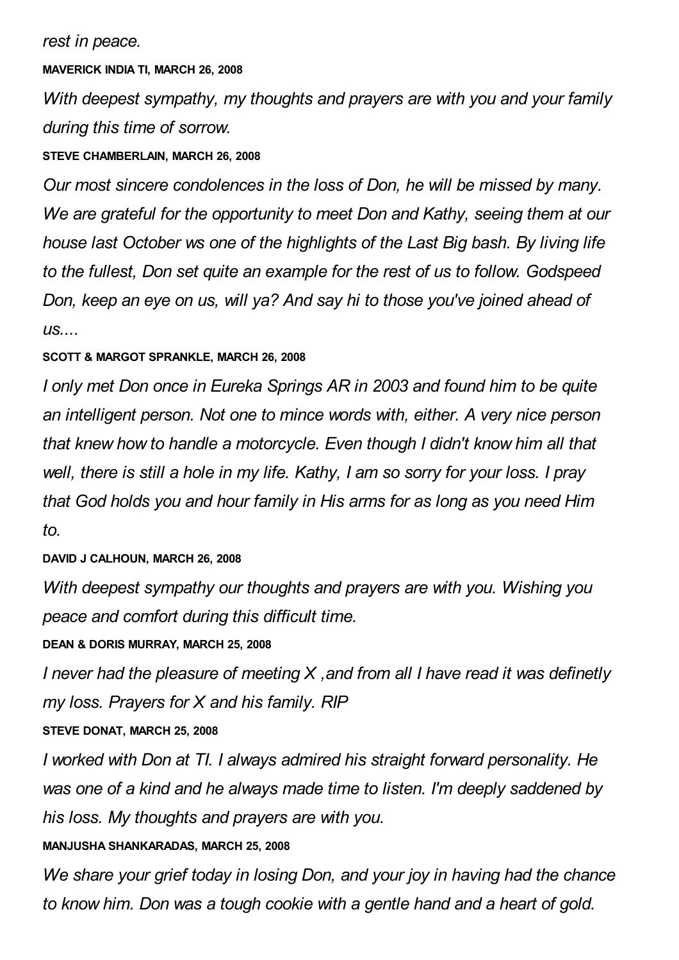## **MAVERICK INDIA TI, MARCH 26, 2008**

*With deepest sympathy, my thoughts and prayers are with you and your family during this time of sorrow.*

## **STEVE CHAMBERLAIN, MARCH 26, 2008**

*Our most sincere condolences in the loss of Don, he will be missed by many. We are grateful for the opportunity to meet Don and Kathy, seeing them at our house last October ws one of the highlights of the Last Big bash. By living life to the fullest, Don set quite an example for the rest of us to follow. Godspeed Don, keep an eye on us, will ya? And say hi to those you've joined ahead of us....*

## **SCOTT & MARGOT SPRANKLE, MARCH 26, 2008**

*I only met Don once in Eureka Springs AR in 2003 and found him to be quite an intelligent person. Not one to mince words with, either. A very nice person that knew how to handle a motorcycle. Even though I didn't know him all that well, there is still a hole in my life. Kathy, I am so sorry for your loss. I pray that God holds you and hour family in His arms for as long as you need Him to.*

# **DAVID J CALHOUN, MARCH 26, 2008**

*With deepest sympathy our thoughts and prayers are with you. Wishing you peace and comfort during this difficult time.*

# **DEAN & DORIS MURRAY, MARCH 25, 2008**

*I never had the pleasure of meeting X ,and from all I have read it was definetly my loss. Prayers for X and his family. RIP*

# **STEVE DONAT, MARCH 25, 2008**

*I worked with Don at TI. I always admired his straight forward personality. He was one of a kind and he always made time to listen. I'm deeply saddened by his loss. My thoughts and prayers are with you.*

# **MANJUSHA SHANKARADAS, MARCH 25, 2008**

*We share your grief today in losing Don, and your joy in having had the chance to know him. Don was a tough cookie with a gentle hand and a heart of gold.*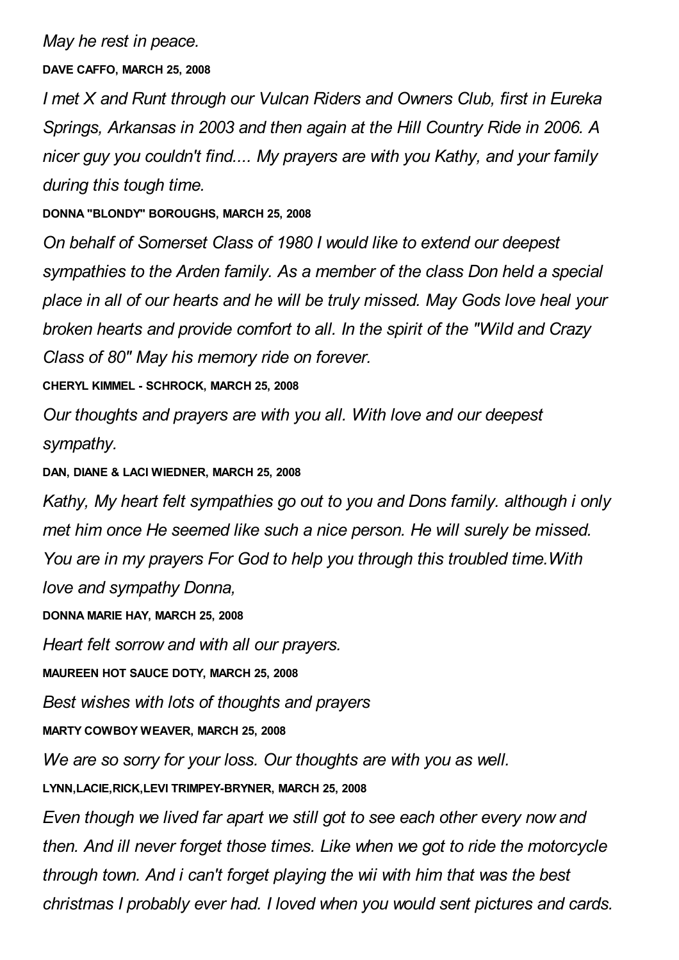## *May he rest in peace.*

**DAVE CAFFO, MARCH 25, 2008**

*I met X and Runt through our Vulcan Riders and Owners Club, first in Eureka Springs, Arkansas in 2003 and then again at the Hill Country Ride in 2006. A nicer guy you couldn't find.... My prayers are with you Kathy, and your family during this tough time.*

**DONNA "BLONDY" BOROUGHS, MARCH 25, 2008**

*On behalf of Somerset Class of 1980 I would like to extend our deepest sympathies to the Arden family. As a member of the class Don held a special place in all of our hearts and he will be truly missed. May Gods love heal your broken hearts and provide comfort to all. In the spirit of the "Wild and Crazy Class of 80" May his memory ride on forever.*

**CHERYL KIMMEL - SCHROCK, MARCH 25, 2008**

*Our thoughts and prayers are with you all. With love and our deepest sympathy.*

**DAN, DIANE & LACI WIEDNER, MARCH 25, 2008**

*Kathy, My heart felt sympathies go out to you and Dons family. although i only met him once He seemed like such a nice person. He will surely be missed. You are in my prayers For God to help you through this troubled time.With love and sympathy Donna,*

**DONNA MARIE HAY, MARCH 25, 2008**

*Heart felt sorrow and with all our prayers.*

**MAUREEN HOT SAUCE DOTY, MARCH 25, 2008**

*Best wishes with lots of thoughts and prayers*

**MARTY COWBOY WEAVER, MARCH 25, 2008**

*We are so sorry for your loss. Our thoughts are with you as well.*

**LYNN,LACIE,RICK,LEVI TRIMPEY-BRYNER, MARCH 25, 2008**

*Even though we lived far apart we still got to see each other every now and then. And ill never forget those times. Like when we got to ride the motorcycle through town. And i can't forget playing the wii with him that was the best christmas I probably ever had. I loved when you would sent pictures and cards.*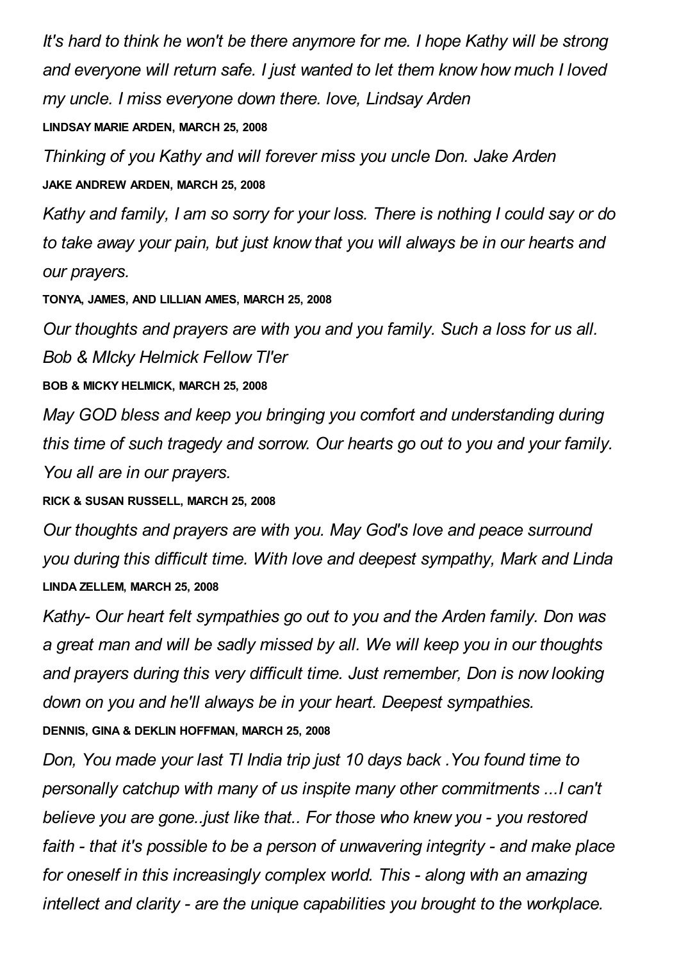*It's hard to think he won't be there anymore for me. I hope Kathy will be strong and everyone will return safe. I just wanted to let them know how much I loved my uncle. I miss everyone down there. love, Lindsay Arden*

**LINDSAY MARIE ARDEN, MARCH 25, 2008**

*Thinking of you Kathy and will forever miss you uncle Don. Jake Arden* **JAKE ANDREW ARDEN, MARCH 25, 2008**

*Kathy and family, I am so sorry for your loss. There is nothing I could say or do to take away your pain, but just know that you will always be in our hearts and our prayers.*

**TONYA, JAMES, AND LILLIAN AMES, MARCH 25, 2008**

*Our thoughts and prayers are with you and you family. Such a loss for us all. Bob & MIcky Helmick Fellow TI'er*

**BOB & MICKY HELMICK, MARCH 25, 2008**

*May GOD bless and keep you bringing you comfort and understanding during this time of such tragedy and sorrow. Our hearts go out to you and your family. You all are in our prayers.*

**RICK & SUSAN RUSSELL, MARCH 25, 2008**

*Our thoughts and prayers are with you. May God's love and peace surround you during this difficult time. With love and deepest sympathy, Mark and Linda* **LINDA ZELLEM, MARCH 25, 2008**

*Kathy- Our heart felt sympathies go out to you and the Arden family. Don was a great man and will be sadly missed by all. We will keep you in our thoughts and prayers during this very difficult time. Just remember, Don is now looking down on you and he'll always be in your heart. Deepest sympathies.* **DENNIS, GINA & DEKLIN HOFFMAN, MARCH 25, 2008**

*Don, You made your last TI India trip just 10 days back .You found time to personally catchup with many of us inspite many other commitments ...I can't believe you are gone..just like that.. For those who knew you - you restored faith - that it's possible to be a person of unwavering integrity - and make place for oneself in this increasingly complex world. This - along with an amazing intellect and clarity - are the unique capabilities you brought to the workplace.*